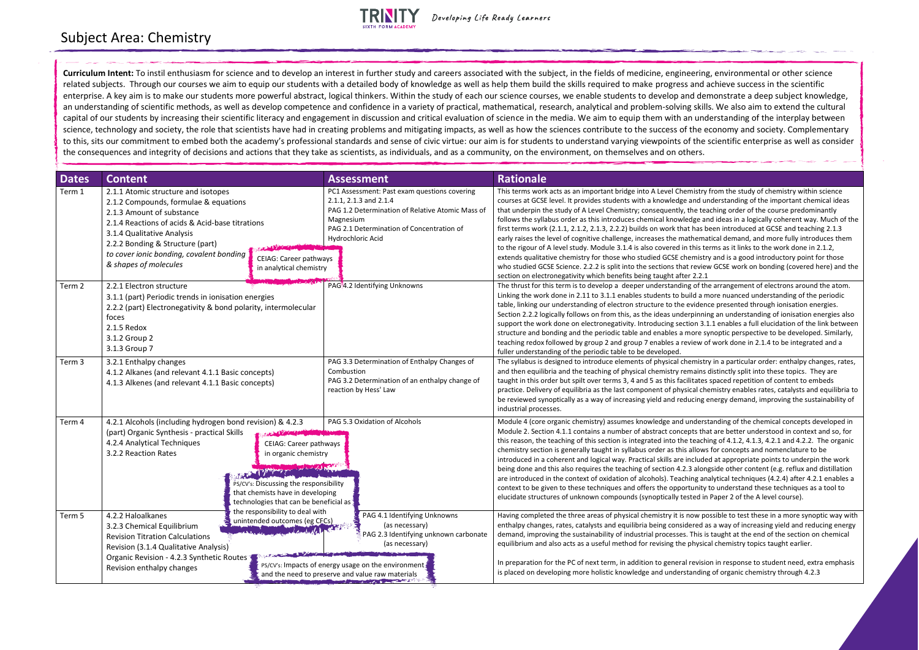## TRINITY

| <b>Dates</b> | <b>Content</b>                                                                                                                                                                                                                                                                                      |                                                                                                                                                                                                                                          | <b>Assessment</b>                                                                                                                                                                                                     | <b>Rationale</b>                                                                                                                                                                                                                                                                                                                                                                                                                                                                                                                                                                                                                                                                                                                           |
|--------------|-----------------------------------------------------------------------------------------------------------------------------------------------------------------------------------------------------------------------------------------------------------------------------------------------------|------------------------------------------------------------------------------------------------------------------------------------------------------------------------------------------------------------------------------------------|-----------------------------------------------------------------------------------------------------------------------------------------------------------------------------------------------------------------------|--------------------------------------------------------------------------------------------------------------------------------------------------------------------------------------------------------------------------------------------------------------------------------------------------------------------------------------------------------------------------------------------------------------------------------------------------------------------------------------------------------------------------------------------------------------------------------------------------------------------------------------------------------------------------------------------------------------------------------------------|
| Term 1       | 2.1.1 Atomic structure and isotopes<br>2.1.2 Compounds, formulae & equations<br>2.1.3 Amount of substance<br>2.1.4 Reactions of acids & Acid-base titrations<br>3.1.4 Qualitative Analysis<br>2.2.2 Bonding & Structure (part)<br>to cover ionic bonding, covalent bonding<br>& shapes of molecules | <b>CEIAG: Career pathways</b><br>in analytical chemistry                                                                                                                                                                                 | PC1 Assessment: Past exam questions covering<br>2.1.1, 2.1.3 and 2.1.4<br>PAG 1.2 Determination of Relative Atomic Mass of<br>Magnesium<br>PAG 2.1 Determination of Concentration of<br>Hydrochloric Acid             | This terms work acts as an important bridge into A Level Chemistry<br>courses at GCSE level. It provides students with a knowledge and u<br>that underpin the study of A Level Chemistry; consequently, the tea<br>follows the syllabus order as this introduces chemical knowledge a<br>first terms work (2.1.1, 2.1.2, 2.1.3, 2.2.2) builds on work that has b<br>early raises the level of cognitive challenge, increases the mathema<br>to the rigour of A level study. Module 3.1.4 is also covered in this te<br>extends qualitative chemistry for those who studied GCSE chemistr<br>who studied GCSE Science. 2.2.2 is split into the sections that revier<br>section on electronegativity which benefits being taught after 2.2.1 |
| Term 2       | 2.2.1 Electron structure<br>3.1.1 (part) Periodic trends in ionisation energies<br>2.2.2 (part) Electronegativity & bond polarity, intermolecular<br>foces<br>2.1.5 Redox<br>3.1.2 Group 2<br>3.1.3 Group 7                                                                                         |                                                                                                                                                                                                                                          | PAG <sup>3</sup> 4.2 Identifying Unknowns                                                                                                                                                                             | The thrust for this term is to develop a deeper understanding of th<br>Linking the work done in 2.11 to 3.1.1 enables students to build a n<br>table, linking our understanding of electron structure to the eviden<br>Section 2.2.2 logically follows on from this, as the ideas underpinni<br>support the work done on electronegativity. Introducing section 3.<br>structure and bonding and the periodic table and enables a more s<br>teaching redox followed by group 2 and group 7 enables a review c<br>fuller understanding of the periodic table to be developed.                                                                                                                                                                |
| Term 3       | 3.2.1 Enthalpy changes<br>4.1.2 Alkanes (and relevant 4.1.1 Basic concepts)<br>4.1.3 Alkenes (and relevant 4.1.1 Basic concepts)                                                                                                                                                                    |                                                                                                                                                                                                                                          | PAG 3.3 Determination of Enthalpy Changes of<br>Combustion<br>PAG 3.2 Determination of an enthalpy change of<br>reaction by Hess' Law                                                                                 | The syllabus is designed to introduce elements of physical chemistr<br>and then equilibria and the teaching of physical chemistry remains<br>taught in this order but spilt over terms 3, 4 and 5 as this facilitates<br>practice. Delivery of equilibria as the last component of physical ch<br>be reviewed synoptically as a way of increasing yield and reducing<br>industrial processes.                                                                                                                                                                                                                                                                                                                                              |
| Term 4       | 4.2.1 Alcohols (including hydrogen bond revision) & 4.2.3<br>(part) Organic Synthesis - practical Skills<br>4.2.4 Analytical Techniques<br>3.2.2 Reaction Rates                                                                                                                                     | PAG 5.3 Oxidation of Alcohols<br><b>CEIAG: Career pathways</b><br>in organic chemistry<br>of the way provided to<br>PS/CV's: Discussing the responsibility<br>that chemists have in developing<br>technologies that can be beneficial as |                                                                                                                                                                                                                       | Module 4 (core organic chemistry) assumes knowledge and unders<br>Module 2. Section 4.1.1 contains a number of abstract concepts tha<br>this reason, the teaching of this section is integrated into the teach<br>chemistry section is generally taught in syllabus order as this allows<br>introduced in a coherent and logical way. Practical skills are include<br>being done and this also requires the teaching of section 4.2.3 alon<br>are introduced in the context of oxidation of alcohols). Teaching an<br>context to be given to these techniques and offers the opportunity<br>elucidate structures of unknown compounds (synoptically tested in                                                                              |
| Term 5       | 4.2.2 Haloalkanes<br>3.2.3 Chemical Equilibrium<br><b>Revision Titration Calculations</b><br>Revision (3.1.4 Qualitative Analysis)<br>Organic Revision - 4.2.3 Synthetic Routes<br>Revision enthalpy changes                                                                                        | the responsibility to deal with<br>unintended outcomes (eg CECs)                                                                                                                                                                         | PAG 4.1 Identifying Unknowns<br>(as necessary)<br>PAG 2.3 Identifying unknown carbonate<br>(as necessary)<br>PS/CV's: Impacts of energy usage on the environment.<br>and the need to preserve and value raw materials | Having completed the three areas of physical chemistry it is now po<br>enthalpy changes, rates, catalysts and equilibria being considered a<br>demand, improving the sustainability of industrial processes. This is<br>equilibrium and also acts as a useful method for revising the physic<br>In preparation for the PC of next term, in addition to general revision<br>is placed on developing more holistic knowledge and understandin                                                                                                                                                                                                                                                                                                |

nistry from the study of chemistry within science and understanding of the important chemical ideas he teaching order of the course predominantly follows and ideas in a logically coherent way. Much of the has been introduced at GCSE and teaching 2.1.3 hematical demand, and more fully introduces them this terms as it links to the work done in 2.1.2, mistry and is a good introductory point for those review GCSE work on bonding (covered here) and the

of the arrangement of electrons around the atom. Id a more nuanced understanding of the periodic vidence presented through ionisation energies. oinning an understanding of ionisation energies also on 3.1.1 enables a full elucidation of the link between ore synoptic perspective to be developed. Similarly, iew of work done in 2.1.4 to be integrated and a

mistry in a particular order: enthalpy changes, rates, hains distinctly split into these topics. They are tates spaced repetition of content to embeds cal chemistry enables rates, catalysts and equilibria to cing energy demand, improving the sustainability of

nderstanding of the chemical concepts developed in ts that are better understood in context and so, for teaching of  $4.1.2$ ,  $4.1.3$ ,  $4.2.1$  and  $4.2.2$ . The organic allows for concepts and nomenclature to be cluded at appropriate points to underpin the work deedong done also also repulation also repulse the teaching of alongside other content (e.g. reflux and distillation ng analytical techniques (4.2.4) after 4.2.1 enables a unity to understand these techniques as a tool to ted in Paper 2 of the A level course).

ow possible to test these in a more synoptic way with red as a way of increasing yield and reducing energy This is taught at the end of the section on chemical hysical chemistry topics taught earlier.

In prevision in response to student need, extra emphasis nding of organic chemistry through 4.2.3

## Subject Area: Chemistry

**Curriculum Intent:** To instil enthusiasm for science and to develop an interest in further study and careers associated with the subject, in the fields of medicine, engineering, environmental or other science related subjects. Through our courses we aim to equip our students with a detailed body of knowledge as well as help them build the skills required to make progress and achieve success in the scientific enterprise. A key aim is to make our students more powerful abstract, logical thinkers. Within the study of each our science courses, we enable students to develop and demonstrate a deep subject knowledge, an understanding of scientific methods, as well as develop competence and confidence in a variety of practical, mathematical, research, analytical and problem-solving skills. We also aim to extend the cultural capital of our students by increasing their scientific literacy and engagement in discussion and critical evaluation of science in the media. We aim to equip them with an understanding of the interplay between science, technology and society, the role that scientists have had in creating problems and mitigating impacts, as well as how the sciences contribute to the success of the economy and society. Complementary to this, sits our commitment to embed both the academy's professional standards and sense of civic virtue: our aim is for students to understand varying viewpoints of the scientific enterprise as well as consider the consequences and integrity of decisions and actions that they take as scientists, as individuals, and as a community, on the environment, on themselves and on others.